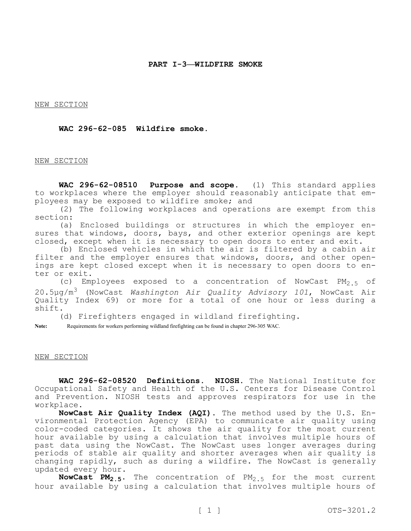NEW SECTION

# **WAC 296-62-085 Wildfire smoke.**

#### NEW SECTION

**WAC 296-62-08510 Purpose and scope.** (1) This standard applies to workplaces where the employer should reasonably anticipate that employees may be exposed to wildfire smoke; and

(2) The following workplaces and operations are exempt from this section:

(a) Enclosed buildings or structures in which the employer ensures that windows, doors, bays, and other exterior openings are kept closed, except when it is necessary to open doors to enter and exit.

(b) Enclosed vehicles in which the air is filtered by a cabin air filter and the employer ensures that windows, doors, and other openings are kept closed except when it is necessary to open doors to enter or exit.

(c) Employees exposed to a concentration of NowCast  $PM_{2.5}$  of 20.5µg/m3 (NowCast *Washington Air Quality Advisory 101*, NowCast Air Quality Index 69) or more for a total of one hour or less during a shift.

(d) Firefighters engaged in wildland firefighting.

**Note:** Requirements for workers performing wildland firefighting can be found in chapter 296-305 WAC.

#### NEW SECTION

**WAC 296-62-08520 Definitions. NIOSH.** The National Institute for Occupational Safety and Health of the U.S. Centers for Disease Control and Prevention. NIOSH tests and approves respirators for use in the workplace.

**NowCast Air Quality Index (AQI).** The method used by the U.S. Environmental Protection Agency (EPA) to communicate air quality using color-coded categories. It shows the air quality for the most current hour available by using a calculation that involves multiple hours of past data using the NowCast. The NowCast uses longer averages during periods of stable air quality and shorter averages when air quality is changing rapidly, such as during a wildfire. The NowCast is generally updated every hour.

**NowCast PM2.5.** The concentration of PM2.5 for the most current hour available by using a calculation that involves multiple hours of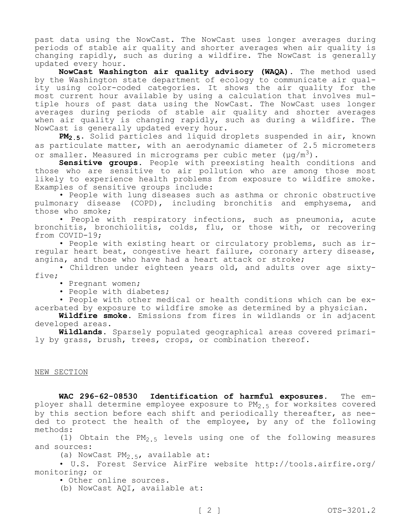past data using the NowCast. The NowCast uses longer averages during periods of stable air quality and shorter averages when air quality is changing rapidly, such as during a wildfire. The NowCast is generally updated every hour.

**NowCast Washington air quality advisory (WAQA).** The method used by the Washington state department of ecology to communicate air quality using color-coded categories. It shows the air quality for the most current hour available by using a calculation that involves multiple hours of past data using the NowCast. The NowCast uses longer averages during periods of stable air quality and shorter averages when air quality is changing rapidly, such as during a wildfire. The NowCast is generally updated every hour.

**PM2.5.** Solid particles and liquid droplets suspended in air, known as particulate matter, with an aerodynamic diameter of 2.5 micrometers or smaller. Measured in micrograms per cubic meter  $(\mu g/m^3)$ .

**Sensitive groups.** People with preexisting health conditions and those who are sensitive to air pollution who are among those most likely to experience health problems from exposure to wildfire smoke. Examples of sensitive groups include:

• People with lung diseases such as asthma or chronic obstructive pulmonary disease (COPD), including bronchitis and emphysema, and those who smoke;

• People with respiratory infections, such as pneumonia, acute bronchitis, bronchiolitis, colds, flu, or those with, or recovering from COVID-19;

• People with existing heart or circulatory problems, such as irregular heart beat, congestive heart failure, coronary artery disease, angina, and those who have had a heart attack or stroke;

• Children under eighteen years old, and adults over age sixtyfive;

• Pregnant women;

• People with diabetes;

• People with other medical or health conditions which can be exacerbated by exposure to wildfire smoke as determined by a physician.

**Wildfire smoke.** Emissions from fires in wildlands or in adjacent developed areas.

**Wildlands.** Sparsely populated geographical areas covered primarily by grass, brush, trees, crops, or combination thereof.

# NEW SECTION

**WAC 296-62-08530 Identification of harmful exposures.** The employer shall determine employee exposure to  $PM_{2.5}$  for worksites covered by this section before each shift and periodically thereafter, as needed to protect the health of the employee, by any of the following methods:

(1) Obtain the  $PM_{2.5}$  levels using one of the following measures and sources:

(a) NowCast PM<sub>2</sub>  $5$ , available at:

• U.S. Forest Service AirFire website http://tools.airfire.org/ monitoring; or

• Other online sources.

(b) NowCast AQI, available at: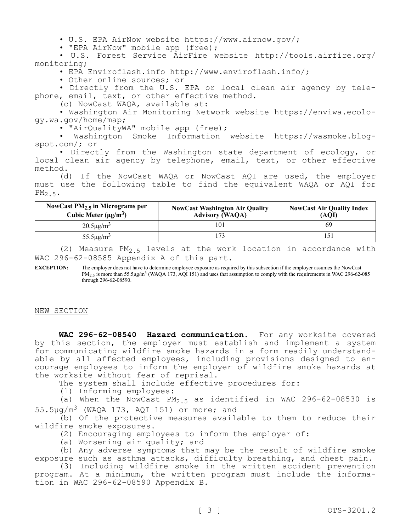• U.S. EPA AirNow website https://www.airnow.gov/;

• "EPA AirNow" mobile app (free);

• U.S. Forest Service AirFire website http://tools.airfire.org/ monitoring;

• EPA Enviroflash.info http://www.enviroflash.info/;

• Other online sources; or

• Directly from the U.S. EPA or local clean air agency by telephone, email, text, or other effective method.

(c) NowCast WAQA, available at:

• Washington Air Monitoring Network website https://enviwa.ecology.wa.gov/home/map;

• "AirQualityWA" mobile app (free);

• Washington Smoke Information website https://wasmoke.blogspot.com/; or

• Directly from the Washington state department of ecology, or local clean air agency by telephone, email, text, or other effective method.

(d) If the NowCast WAQA or NowCast AQI are used, the employer must use the following table to find the equivalent WAQA or AQI for  $PM_2$  5.

| NowCast $PM_{2.5}$ in Micrograms per<br>Cubic Meter $(\mu g/m^3)$ | <b>NowCast Washington Air Quality</b><br>Advisory (WAQA) | <b>NowCast Air Quality Index</b><br>(AOI) |
|-------------------------------------------------------------------|----------------------------------------------------------|-------------------------------------------|
| $20.5 \mu g/m^3$                                                  | 101                                                      | 69                                        |
| $55.5 \mu g/m^3$                                                  |                                                          | 15 <sup>1</sup>                           |

(2) Measure PM<sub>2.5</sub> levels at the work location in accordance with WAC 296-62-08585 Appendix A of this part.

**EXCEPTION:** The employer does not have to determine employee exposure as required by this subsection if the employer assumes the NowCast  $PM_{2.5}$  is more than 55.5 $\mu$ g/m<sup>3</sup> (WAQA 173, AQI 151) and uses that assumption to comply with the requirements in WAC 296-62-085 through 296-62-08590.

NEW SECTION

**WAC 296-62-08540 Hazard communication.** For any worksite covered by this section, the employer must establish and implement a system for communicating wildfire smoke hazards in a form readily understandable by all affected employees, including provisions designed to encourage employees to inform the employer of wildfire smoke hazards at the worksite without fear of reprisal.

The system shall include effective procedures for:

(1) Informing employees:

(a) When the NowCast  $PM_{2.5}$  as identified in WAC 296-62-08530 is  $55.5\mu q/m^3$  (WAQA 173, AQI 151) or more; and

(b) Of the protective measures available to them to reduce their wildfire smoke exposures.

(2) Encouraging employees to inform the employer of:

(a) Worsening air quality; and

(b) Any adverse symptoms that may be the result of wildfire smoke exposure such as asthma attacks, difficulty breathing, and chest pain.

(3) Including wildfire smoke in the written accident prevention program. At a minimum, the written program must include the information in WAC 296-62-08590 Appendix B.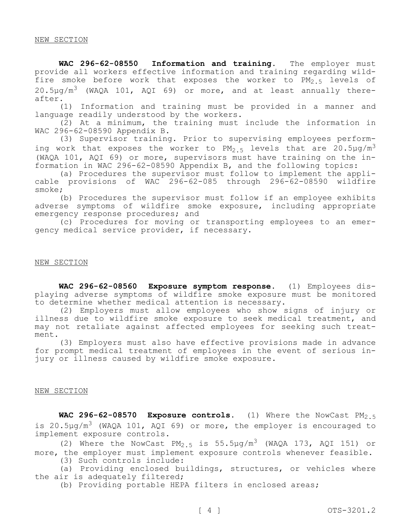**WAC 296-62-08550 Information and training.** The employer must provide all workers effective information and training regarding wildfire smoke before work that exposes the worker to PM<sub>2.5</sub> levels of  $20.5\mu q/m^3$  (WAQA 101, AQI 69) or more, and at least annually thereafter.

(1) Information and training must be provided in a manner and language readily understood by the workers.

(2) At a minimum, the training must include the information in WAC 296-62-08590 Appendix B.

(3) Supervisor training. Prior to supervising employees performing work that exposes the worker to  $PM_{2.5}$  levels that are 20.5 $\mu$ g/m<sup>3</sup> (WAQA 101, AQI 69) or more, supervisors must have training on the information in WAC 296-62-08590 Appendix B, and the following topics:

(a) Procedures the supervisor must follow to implement the applicable provisions of WAC 296-62-085 through 296-62-08590 wildfire smoke;

(b) Procedures the supervisor must follow if an employee exhibits adverse symptoms of wildfire smoke exposure, including appropriate emergency response procedures; and

(c) Procedures for moving or transporting employees to an emergency medical service provider, if necessary.

## NEW SECTION

**WAC 296-62-08560 Exposure symptom response.** (1) Employees displaying adverse symptoms of wildfire smoke exposure must be monitored to determine whether medical attention is necessary.

(2) Employers must allow employees who show signs of injury or illness due to wildfire smoke exposure to seek medical treatment, and may not retaliate against affected employees for seeking such treatment.

(3) Employers must also have effective provisions made in advance for prompt medical treatment of employees in the event of serious injury or illness caused by wildfire smoke exposure.

# NEW SECTION

WAC 296-62-08570 Exposure controls. (1) Where the NowCast PM<sub>2.5</sub> is 20.5µq/m<sup>3</sup> (WAQA 101, AQI 69) or more, the employer is encouraged to implement exposure controls.

(2) Where the NowCast PM<sub>2.5</sub> is 55.5µg/m<sup>3</sup> (WAQA 173, AQI 151) or more, the employer must implement exposure controls whenever feasible.

(3) Such controls include:

(a) Providing enclosed buildings, structures, or vehicles where the air is adequately filtered;

(b) Providing portable HEPA filters in enclosed areas;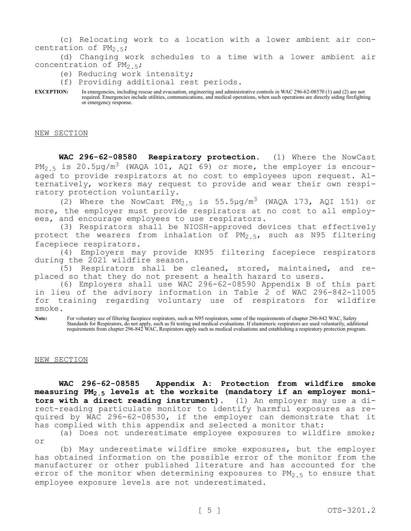(c) Relocating work to a location with a lower ambient air concentration of  $PM_{2.5}$ ;

(d) Changing work schedules to a time with a lower ambient air concentration of PM<sub>2</sub>.5;

(e) Reducing work intensity;

(f) Providing additional rest periods.

**EXCEPTION:** In emergencies, including rescue and evacuation, engineering and administrative controls in WAC 296-62-08570 (1) and (2) are not required. Emergencies include utilities, communications, and medical operations, when such operations are directly aiding firefighting or emergency response.

NEW SECTION

**WAC 296-62-08580 Respiratory protection.** (1) Where the NowCast  $PM_{2.5}$  is 20.5µg/m<sup>3</sup> (WAQA 101, AQI 69) or more, the employer is encouraged to provide respirators at no cost to employees upon request. Alternatively, workers may request to provide and wear their own respiratory protection voluntarily.

(2) Where the NowCast  $PM_{2.5}$  is 55.5µg/m<sup>3</sup> (WAQA 173, AQI 151) or more, the employer must provide respirators at no cost to all employees, and encourage employees to use respirators.

(3) Respirators shall be NIOSH-approved devices that effectively protect the wearers from inhalation of  $PM_{2.5}$ , such as N95 filtering facepiece respirators.

(4) Employers may provide KN95 filtering facepiece respirators during the 2021 wildfire season.

(5) Respirators shall be cleaned, stored, maintained, and replaced so that they do not present a health hazard to users.

(6) Employers shall use WAC 296-62-08590 Appendix B of this part in lieu of the advisory information in Table 2 of WAC 296-842-11005 for training regarding voluntary use of respirators for wildfire smoke.

Note: For voluntary use of filtering facepiece respirators, such as N95 respirators, some of the requirements of chapter 296-842 WAC, Safety Standards for Respirators, do not apply, such as fit testing and medical evaluations. If elastomeric respirators are used voluntarily, additional requirements from chapter 296-842 WAC, Respirators apply such as medical evaluations and establishing a respiratory protection program.

### NEW SECTION

**WAC 296-62-08585 Appendix A: Protection from wildfire smoke measuring PM2.5 levels at the worksite (mandatory if an employer monitors with a direct reading instrument).** (1) An employer may use a direct-reading particulate monitor to identify harmful exposures as required by WAC 296-62-08530, if the employer can demonstrate that it has complied with this appendix and selected a monitor that:

(a) Does not underestimate employee exposures to wildfire smoke; or

(b) May underestimate wildfire smoke exposures, but the employer has obtained information on the possible error of the monitor from the manufacturer or other published literature and has accounted for the error of the monitor when determining exposures to  $PM_{2,5}$  to ensure that employee exposure levels are not underestimated.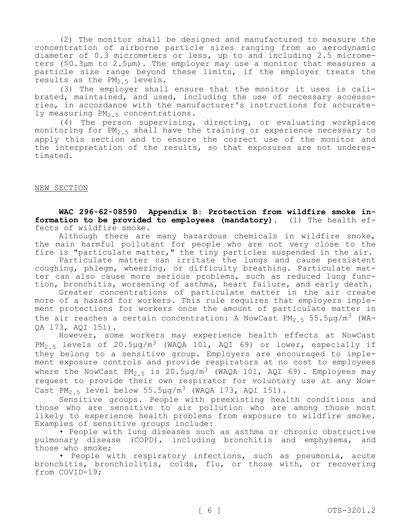(2) The monitor shall be designed and manufactured to measure the concentration of airborne particle sizes ranging from an aerodynamic diameter of 0.3 micrometers or less, up to and including 2.5 micrometers (≤0.3µm to 2.5µm). The employer may use a monitor that measures a particle size range beyond these limits, if the employer treats the results as the  $PM_{2.5}$  levels.

(3) The employer shall ensure that the monitor it uses is calibrated, maintained, and used, including the use of necessary accessories, in accordance with the manufacturer's instructions for accurately measuring PM<sub>2.5</sub> concentrations.

(4) The person supervising, directing, or evaluating workplace monitoring for PM<sub>2.5</sub> shall have the training or experience necessary to apply this section and to ensure the correct use of the monitor and the interpretation of the results, so that exposures are not underestimated.

# NEW SECTION

**WAC 296-62-08590 Appendix B: Protection from wildfire smoke information to be provided to employees (mandatory).** (1) The health effects of wildfire smoke.

Although there are many hazardous chemicals in wildfire smoke, the main harmful pollutant for people who are not very close to the fire is "particulate matter," the tiny particles suspended in the air.

Particulate matter can irritate the lungs and cause persistent coughing, phlegm, wheezing, or difficulty breathing. Particulate matter can also cause more serious problems, such as reduced lung function, bronchitis, worsening of asthma, heart failure, and early death.

Greater concentrations of particulate matter in the air create more of a hazard for workers. This rule requires that employers implement protections for workers once the amount of particulate matter in the air reaches a certain concentration: A NowCast PM<sub>2.5</sub> 55.5ug/m<sup>3</sup> (WA-QA 173, AQI 151).

However, some workers may experience health effects at NowCast  $PM_{2.5}$  levels of 20.5µg/m<sup>3</sup> (WAQA 101, AQI 69) or lower, especially if they belong to a sensitive group. Employers are encouraged to implement exposure controls and provide respirators at no cost to employees where the NowCast  $PM_{2.5}$  is 20.5µg/m<sup>3</sup> (WAQA 101, AQI 69). Employees may request to provide their own respirator for voluntary use at any Now-Cast PM<sub>2.5</sub> level below 55.5µg/m<sup>3</sup> (WAQA 173, AQI 151).

Sensitive groups. People with preexisting health conditions and those who are sensitive to air pollution who are among those most likely to experience health problems from exposure to wildfire smoke. Examples of sensitive groups include:

• People with lung diseases such as asthma or chronic obstructive pulmonary disease (COPD), including bronchitis and emphysema, and those who smoke;

• People with respiratory infections, such as pneumonia, acute bronchitis, bronchiolitis, colds, flu, or those with, or recovering from COVID-19;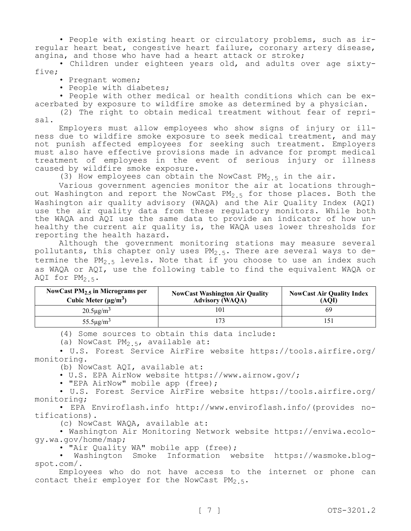• People with existing heart or circulatory problems, such as irregular heart beat, congestive heart failure, coronary artery disease, angina, and those who have had a heart attack or stroke;

• Children under eighteen years old, and adults over age sixtyfive;

- Pregnant women;
- People with diabetes;

• People with other medical or health conditions which can be exacerbated by exposure to wildfire smoke as determined by a physician.

(2) The right to obtain medical treatment without fear of reprisal.

Employers must allow employees who show signs of injury or illness due to wildfire smoke exposure to seek medical treatment, and may not punish affected employees for seeking such treatment. Employers must also have effective provisions made in advance for prompt medical treatment of employees in the event of serious injury or illness caused by wildfire smoke exposure.

(3) How employees can obtain the NowCast  $PM_{2,5}$  in the air.

Various government agencies monitor the air at locations throughout Washington and report the NowCast  $PM_{2.5}$  for those places. Both the Washington air quality advisory (WAQA) and the Air Quality Index (AQI) use the air quality data from these regulatory monitors. While both the WAQA and AQI use the same data to provide an indicator of how unhealthy the current air quality is, the WAQA uses lower thresholds for reporting the health hazard.

Although the government monitoring stations may measure several pollutants, this chapter only uses  $PM_{2.5}$ . There are several ways to determine the PM<sub>2</sub><sup>5</sup> levels. Note that if you choose to use an index such as WAQA or AQI, use the following table to find the equivalent WAQA or AQI for  $PM_2$ 5.

| NowCast $PM2.5$ in Micrograms per<br>Cubic Meter $(\mu g/m^3)$ | <b>NowCast Washington Air Quality</b><br><b>Advisory (WAQA)</b> | <b>NowCast Air Quality Index</b><br>(AOI) |
|----------------------------------------------------------------|-----------------------------------------------------------------|-------------------------------------------|
| $20.5 \mu g/m^3$                                               | 101                                                             | 69                                        |
| $55.5 \mu g/m^3$                                               |                                                                 | 151                                       |

(4) Some sources to obtain this data include:

(a) NowCast  $PM_{2.5}$ , available at:

• U.S. Forest Service AirFire website https://tools.airfire.org/ monitoring.

(b) NowCast AQI, available at:

• U.S. EPA AirNow website https://www.airnow.gov/;

• "EPA AirNow" mobile app (free);

• U.S. Forest Service AirFire website https://tools.airfire.org/ monitoring;

• EPA Enviroflash.info http://www.enviroflash.info/(provides notifications).

(c) NowCast WAQA, available at:

• Washington Air Monitoring Network website https://enviwa.ecology.wa.gov/home/map;

• "Air Quality WA" mobile app (free);

• Washington Smoke Information website https://wasmoke.blogspot.com/.

Employees who do not have access to the internet or phone can contact their employer for the NowCast  $PM_{2.5}$ .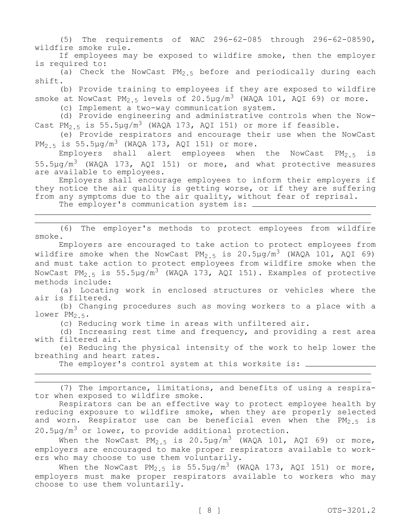(5) The requirements of WAC 296-62-085 through 296-62-08590, wildfire smoke rule.

If employees may be exposed to wildfire smoke, then the employer is required to:

(a) Check the NowCast  $PM_2$  5 before and periodically during each shift.

(b) Provide training to employees if they are exposed to wildfire smoke at NowCast PM<sub>2.5</sub> levels of 20.5µg/m<sup>3</sup> (WAQA 101, AQI 69) or more.

(c) Implement a two-way communication system.

(d) Provide engineering and administrative controls when the Now-Cast PM<sub>2.5</sub> is 55.5µg/m<sup>3</sup> (WAQA 173, AQI 151) or more if feasible.

(e) Provide respirators and encourage their use when the NowCast  $PM_2$  5 is 55.5 $\mu q/m^3$  (WAQA 173, AQI 151) or more.

Employers shall alert employees when the NowCast  $PM_{2.5}$  is  $55.5\mu g/m^3$  (WAQA 173, AQI 151) or more, and what protective measures are available to employees.

Employers shall encourage employees to inform their employers if they notice the air quality is getting worse, or if they are suffering from any symptoms due to the air quality, without fear of reprisal. The employer's communication system is:  $\frac{1}{1}$ 

(6) The employer's methods to protect employees from wildfire smoke.

Employers are encouraged to take action to protect employees from wildfire smoke when the NowCast PM<sub>2</sub> 5 is 20.5µg/m<sup>3</sup> (WAQA 101, AQI 69) and must take action to protect employees from wildfire smoke when the NowCast PM<sub>2.5</sub> is 55.5µg/m<sup>3</sup> (WAQA 173, AQI 151). Examples of protective methods include:

(a) Locating work in enclosed structures or vehicles where the air is filtered.

(b) Changing procedures such as moving workers to a place with a lower  $PM_{2.5}$ .

(c) Reducing work time in areas with unfiltered air.

(d) Increasing rest time and frequency, and providing a rest area with filtered air.

(e) Reducing the physical intensity of the work to help lower the breathing and heart rates.

The employer's control system at this worksite is:  $\frac{1}{\sqrt{1-\frac{1}{\sqrt{1-\frac{1}{\sqrt{1-\frac{1}{\sqrt{1-\frac{1}{\sqrt{1-\frac{1}{\sqrt{1-\frac{1}{\sqrt{1-\frac{1}{\sqrt{1-\frac{1}{\sqrt{1-\frac{1}{\sqrt{1-\frac{1}{\sqrt{1-\frac{1}{\sqrt{1-\frac{1}{\sqrt{1-\frac{1}{\sqrt{1-\frac{1}{\sqrt{1-\frac{1}{\sqrt{1-\frac{1}{\sqrt{1-\frac{1}{\sqrt{1-\frac{1}{\sqrt{$ 

(7) The importance, limitations, and benefits of using a respirator when exposed to wildfire smoke.

Respirators can be an effective way to protect employee health by reducing exposure to wildfire smoke, when they are properly selected and worn. Respirator use can be beneficial even when the  $PM_{2.5}$  is  $20.5 \mu g/m^3$  or lower, to provide additional protection.

When the NowCast PM<sub>2.5</sub> is 20.5µg/m<sup>3</sup> (WAQA 101, AQI 69) or more, employers are encouraged to make proper respirators available to workers who may choose to use them voluntarily.

When the NowCast  $PM_{2.5}$  is 55.5µg/m<sup>3</sup> (WAQA 173, AQI 151) or more, employers must make proper respirators available to workers who may choose to use them voluntarily.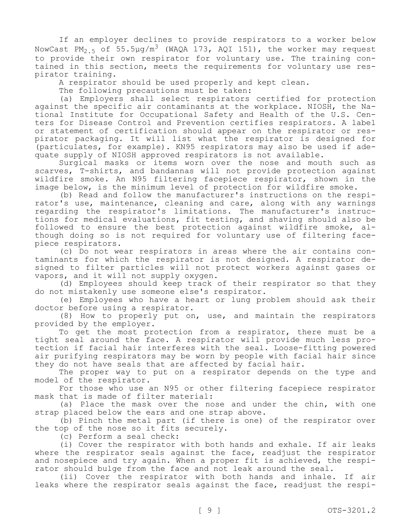If an employer declines to provide respirators to a worker below NowCast PM<sub>2.5</sub> of 55.5µg/m<sup>3</sup> (WAQA 173, AQI 151), the worker may request to provide their own respirator for voluntary use. The training contained in this section, meets the requirements for voluntary use respirator training.

A respirator should be used properly and kept clean.

The following precautions must be taken:

(a) Employers shall select respirators certified for protection against the specific air contaminants at the workplace. NIOSH, the National Institute for Occupational Safety and Health of the U.S. Centers for Disease Control and Prevention certifies respirators. A label or statement of certification should appear on the respirator or respirator packaging. It will list what the respirator is designed for (particulates, for example). KN95 respirators may also be used if adequate supply of NIOSH approved respirators is not available.

Surgical masks or items worn over the nose and mouth such as scarves, T-shirts, and bandannas will not provide protection against wildfire smoke. An N95 filtering facepiece respirator, shown in the image below, is the minimum level of protection for wildfire smoke.

(b) Read and follow the manufacturer's instructions on the respirator's use, maintenance, cleaning and care, along with any warnings regarding the respirator's limitations. The manufacturer's instructions for medical evaluations, fit testing, and shaving should also be followed to ensure the best protection against wildfire smoke, although doing so is not required for voluntary use of filtering facepiece respirators.

(c) Do not wear respirators in areas where the air contains contaminants for which the respirator is not designed. A respirator designed to filter particles will not protect workers against gases or vapors, and it will not supply oxygen.

(d) Employees should keep track of their respirator so that they do not mistakenly use someone else's respirator.

(e) Employees who have a heart or lung problem should ask their doctor before using a respirator.

(8) How to properly put on, use, and maintain the respirators provided by the employer.

To get the most protection from a respirator, there must be a tight seal around the face. A respirator will provide much less protection if facial hair interferes with the seal. Loose-fitting powered air purifying respirators may be worn by people with facial hair since they do not have seals that are affected by facial hair.

The proper way to put on a respirator depends on the type and model of the respirator.

For those who use an N95 or other filtering facepiece respirator mask that is made of filter material:

(a) Place the mask over the nose and under the chin, with one strap placed below the ears and one strap above.

(b) Pinch the metal part (if there is one) of the respirator over the top of the nose so it fits securely.

(c) Perform a seal check:

(i) Cover the respirator with both hands and exhale. If air leaks where the respirator seals against the face, readjust the respirator and nosepiece and try again. When a proper fit is achieved, the respirator should bulge from the face and not leak around the seal.

(ii) Cover the respirator with both hands and inhale. If air leaks where the respirator seals against the face, readjust the respi